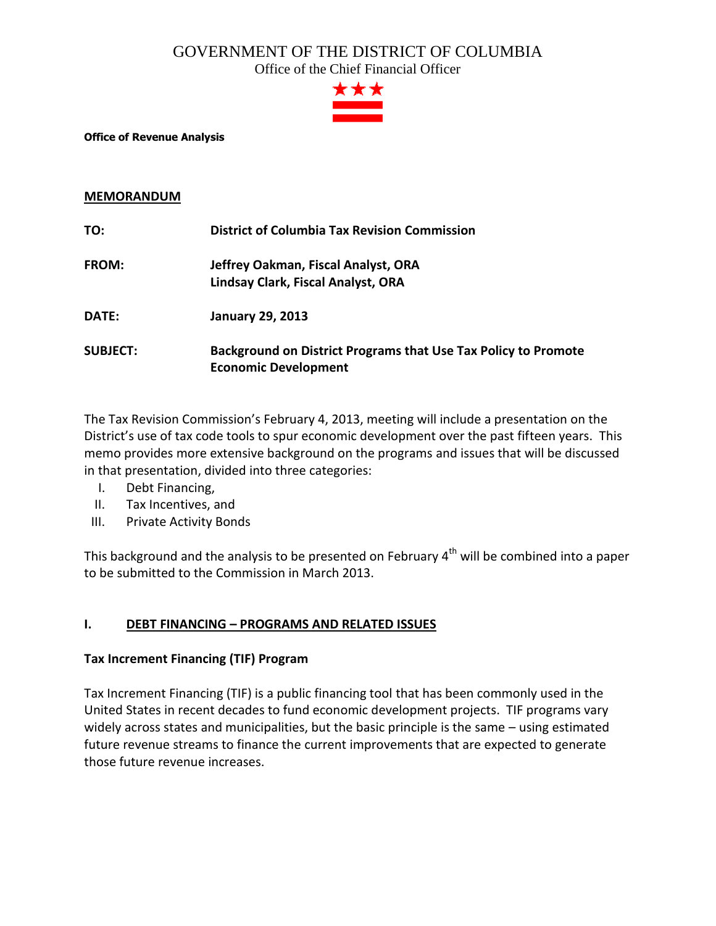### GOVERNMENT OF THE DISTRICT OF COLUMBIA

Office of the Chief Financial Officer



#### **Office of Revenue Analysis**

#### **MEMORANDUM**

| TO:             | <b>District of Columbia Tax Revision Commission</b>                   |
|-----------------|-----------------------------------------------------------------------|
| <b>FROM:</b>    | Jeffrey Oakman, Fiscal Analyst, ORA                                   |
|                 | Lindsay Clark, Fiscal Analyst, ORA                                    |
| DATE:           | <b>January 29, 2013</b>                                               |
| <b>SUBJECT:</b> | <b>Background on District Programs that Use Tax Policy to Promote</b> |
|                 | <b>Economic Development</b>                                           |

The Tax Revision Commission's February 4, 2013, meeting will include a presentation on the District's use of tax code tools to spur economic development over the past fifteen years. This memo provides more extensive background on the programs and issues that will be discussed in that presentation, divided into three categories:

- I. Debt Financing,
- II. Tax Incentives, and
- III. Private Activity Bonds

This background and the analysis to be presented on February 4<sup>th</sup> will be combined into a paper to be submitted to the Commission in March 2013.

#### **I. DEBT FINANCING – PROGRAMS AND RELATED ISSUES**

#### **Tax Increment Financing (TIF) Program**

Tax Increment Financing (TIF) is a public financing tool that has been commonly used in the United States in recent decades to fund economic development projects. TIF programs vary widely across states and municipalities, but the basic principle is the same – using estimated future revenue streams to finance the current improvements that are expected to generate those future revenue increases.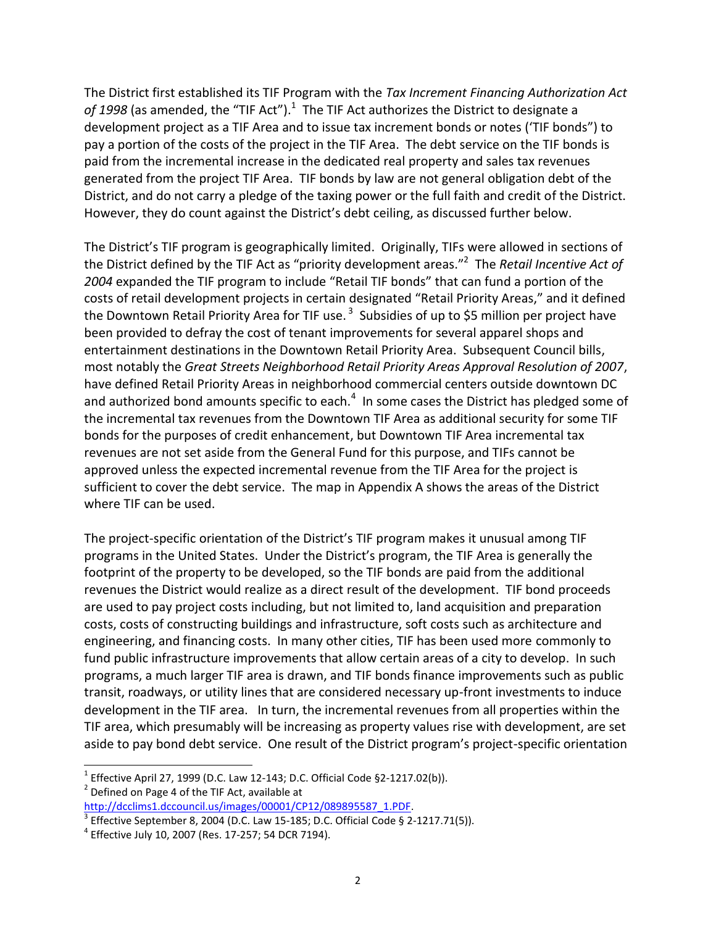The District first established its TIF Program with the *Tax Increment Financing Authorization Act*  of 1998 (as amended, the "TIF Act").<sup>1</sup> The TIF Act authorizes the District to designate a development project as a TIF Area and to issue tax increment bonds or notes ('TIF bonds") to pay a portion of the costs of the project in the TIF Area. The debt service on the TIF bonds is paid from the incremental increase in the dedicated real property and sales tax revenues generated from the project TIF Area. TIF bonds by law are not general obligation debt of the District, and do not carry a pledge of the taxing power or the full faith and credit of the District. However, they do count against the District's debt ceiling, as discussed further below.

The District's TIF program is geographically limited. Originally, TIFs were allowed in sections of the District defined by the TIF Act as "priority development areas."<sup>2</sup> The *Retail Incentive Act of 2004* expanded the TIF program to include "Retail TIF bonds" that can fund a portion of the costs of retail development projects in certain designated "Retail Priority Areas," and it defined the Downtown Retail Priority Area for TIF use.<sup>3</sup> Subsidies of up to \$5 million per project have been provided to defray the cost of tenant improvements for several apparel shops and entertainment destinations in the Downtown Retail Priority Area. Subsequent Council bills, most notably the *Great Streets Neighborhood Retail Priority Areas Approval Resolution of 2007*, have defined Retail Priority Areas in neighborhood commercial centers outside downtown DC and authorized bond amounts specific to each.<sup>4</sup> In some cases the District has pledged some of the incremental tax revenues from the Downtown TIF Area as additional security for some TIF bonds for the purposes of credit enhancement, but Downtown TIF Area incremental tax revenues are not set aside from the General Fund for this purpose, and TIFs cannot be approved unless the expected incremental revenue from the TIF Area for the project is sufficient to cover the debt service. The map in Appendix A shows the areas of the District where TIF can be used.

The project-specific orientation of the District's TIF program makes it unusual among TIF programs in the United States. Under the District's program, the TIF Area is generally the footprint of the property to be developed, so the TIF bonds are paid from the additional revenues the District would realize as a direct result of the development. TIF bond proceeds are used to pay project costs including, but not limited to, land acquisition and preparation costs, costs of constructing buildings and infrastructure, soft costs such as architecture and engineering, and financing costs. In many other cities, TIF has been used more commonly to fund public infrastructure improvements that allow certain areas of a city to develop. In such programs, a much larger TIF area is drawn, and TIF bonds finance improvements such as public transit, roadways, or utility lines that are considered necessary up-front investments to induce development in the TIF area. In turn, the incremental revenues from all properties within the TIF area, which presumably will be increasing as property values rise with development, are set aside to pay bond debt service. One result of the District program's project-specific orientation

<sup>&</sup>lt;sup>1</sup> Effective April 27, 1999 (D.C. Law 12-143; D.C. Official Code §2-1217.02(b)).  $2$  Defined on Page 4 of the TIF Act, available at

[http://dcclims1.dccouncil.us/images/00001/CP12/089895587\\_1.PDF.](http://dcclims1.dccouncil.us/images/00001/CP12/089895587_1.PDF)

 $^3$  Effective September 8, 2004 (D.C. Law 15-185; D.C. Official Code § 2-1217.71(5)).

<sup>4</sup> Effective July 10, 2007 (Res. 17-257; 54 DCR 7194).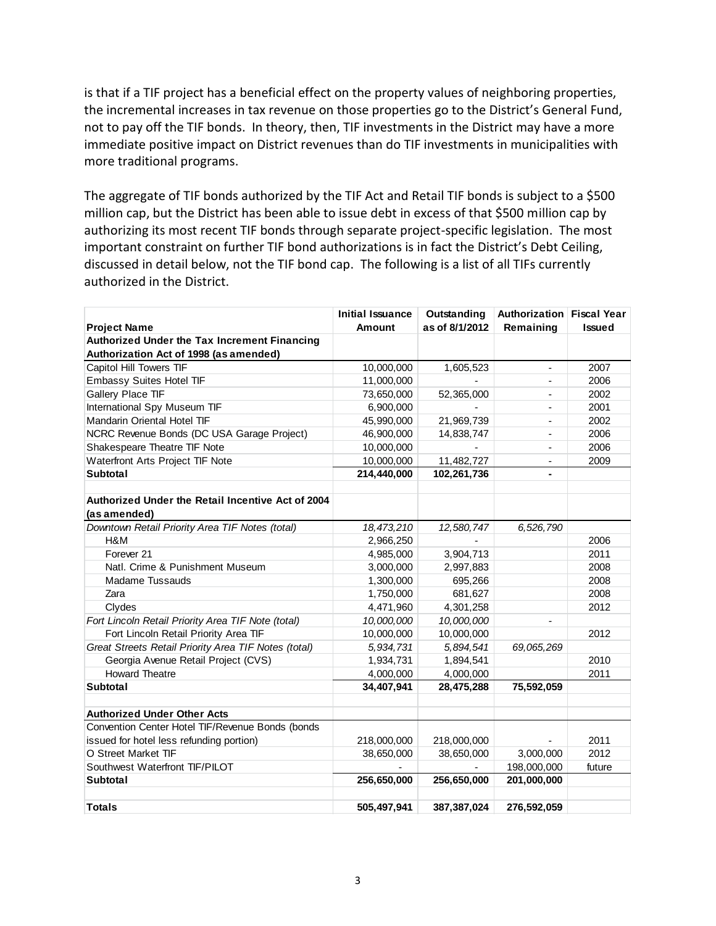is that if a TIF project has a beneficial effect on the property values of neighboring properties, the incremental increases in tax revenue on those properties go to the District's General Fund, not to pay off the TIF bonds. In theory, then, TIF investments in the District may have a more immediate positive impact on District revenues than do TIF investments in municipalities with more traditional programs.

The aggregate of TIF bonds authorized by the TIF Act and Retail TIF bonds is subject to a \$500 million cap, but the District has been able to issue debt in excess of that \$500 million cap by authorizing its most recent TIF bonds through separate project-specific legislation. The most important constraint on further TIF bond authorizations is in fact the District's Debt Ceiling, discussed in detail below, not the TIF bond cap. The following is a list of all TIFs currently authorized in the District.

|                                                                   | <b>Initial Issuance</b> | Outstanding    | Authorization Fiscal Year |               |
|-------------------------------------------------------------------|-------------------------|----------------|---------------------------|---------------|
| <b>Project Name</b>                                               | <b>Amount</b>           | as of 8/1/2012 | Remaining                 | <b>Issued</b> |
| Authorized Under the Tax Increment Financing                      |                         |                |                           |               |
| Authorization Act of 1998 (as amended)                            |                         |                |                           |               |
| Capitol Hill Towers TIF                                           | 10,000,000              | 1,605,523      | $\overline{a}$            | 2007          |
| <b>Embassy Suites Hotel TIF</b>                                   | 11,000,000              |                |                           | 2006          |
| Gallery Place TIF                                                 | 73,650,000              | 52,365,000     | $\overline{\phantom{m}}$  | 2002          |
| International Spy Museum TIF                                      | 6,900,000               |                |                           | 2001          |
| Mandarin Oriental Hotel TIF                                       | 45,990,000              | 21,969,739     | $\overline{a}$            | 2002          |
| NCRC Revenue Bonds (DC USA Garage Project)                        | 46,900,000              | 14,838,747     |                           | 2006          |
| Shakespeare Theatre TIF Note                                      | 10,000,000              |                | $\blacksquare$            | 2006          |
| Waterfront Arts Project TIF Note                                  | 10,000,000              | 11,482,727     | ٠                         | 2009          |
| <b>Subtotal</b>                                                   | 214,440,000             | 102,261,736    |                           |               |
|                                                                   |                         |                |                           |               |
| Authorized Under the Retail Incentive Act of 2004<br>(as amended) |                         |                |                           |               |
| Downtown Retail Priority Area TIF Notes (total)                   | 18,473,210              | 12,580,747     | 6,526,790                 |               |
| H&M                                                               | 2,966,250               |                |                           | 2006          |
| Forever <sub>21</sub>                                             | 4,985,000               | 3,904,713      |                           | 2011          |
| Natl. Crime & Punishment Museum                                   | 3,000,000               | 2,997,883      |                           | 2008          |
| Madame Tussauds                                                   | 1,300,000               | 695,266        |                           | 2008          |
| Zara                                                              | 1,750,000               | 681,627        |                           | 2008          |
| Clydes                                                            | 4,471,960               | 4,301,258      |                           | 2012          |
| Fort Lincoln Retail Priority Area TIF Note (total)                | 10,000,000              | 10,000,000     | $\overline{a}$            |               |
| Fort Lincoln Retail Priority Area TIF                             | 10,000,000              | 10,000,000     |                           | 2012          |
| Great Streets Retail Priority Area TIF Notes (total)              | 5,934,731               | 5,894,541      | 69,065,269                |               |
| Georgia Avenue Retail Project (CVS)                               | 1,934,731               | 1,894,541      |                           | 2010          |
| <b>Howard Theatre</b>                                             | 4,000,000               | 4,000,000      |                           | 2011          |
| <b>Subtotal</b>                                                   | 34,407,941              | 28,475,288     | 75,592,059                |               |
|                                                                   |                         |                |                           |               |
| <b>Authorized Under Other Acts</b>                                |                         |                |                           |               |
| Convention Center Hotel TIF/Revenue Bonds (bonds                  |                         |                |                           |               |
| issued for hotel less refunding portion)                          | 218,000,000             | 218,000,000    |                           | 2011          |
| O Street Market TIF                                               | 38,650,000              | 38,650,000     | 3,000,000                 | 2012          |
| Southwest Waterfront TIF/PILOT                                    |                         |                | 198,000,000               | future        |
| <b>Subtotal</b>                                                   | 256,650,000             | 256,650,000    | 201,000,000               |               |
|                                                                   |                         |                |                           |               |
| <b>Totals</b>                                                     | 505.497.941             | 387,387,024    | 276,592,059               |               |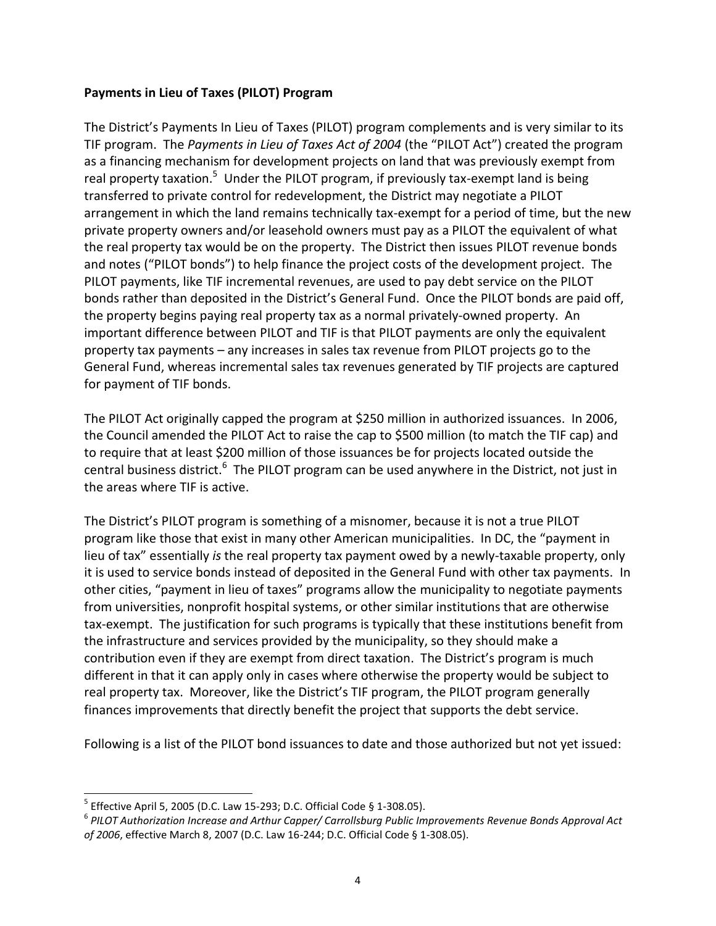#### **Payments in Lieu of Taxes (PILOT) Program**

The District's Payments In Lieu of Taxes (PILOT) program complements and is very similar to its TIF program. The *Payments in Lieu of Taxes Act of 2004* (the "PILOT Act") created the program as a financing mechanism for development projects on land that was previously exempt from real property taxation.<sup>5</sup> Under the PILOT program, if previously tax-exempt land is being transferred to private control for redevelopment, the District may negotiate a PILOT arrangement in which the land remains technically tax-exempt for a period of time, but the new private property owners and/or leasehold owners must pay as a PILOT the equivalent of what the real property tax would be on the property. The District then issues PILOT revenue bonds and notes ("PILOT bonds") to help finance the project costs of the development project. The PILOT payments, like TIF incremental revenues, are used to pay debt service on the PILOT bonds rather than deposited in the District's General Fund. Once the PILOT bonds are paid off, the property begins paying real property tax as a normal privately-owned property. An important difference between PILOT and TIF is that PILOT payments are only the equivalent property tax payments – any increases in sales tax revenue from PILOT projects go to the General Fund, whereas incremental sales tax revenues generated by TIF projects are captured for payment of TIF bonds.

The PILOT Act originally capped the program at \$250 million in authorized issuances. In 2006, the Council amended the PILOT Act to raise the cap to \$500 million (to match the TIF cap) and to require that at least \$200 million of those issuances be for projects located outside the central business district.<sup>6</sup> The PILOT program can be used anywhere in the District, not just in the areas where TIF is active.

The District's PILOT program is something of a misnomer, because it is not a true PILOT program like those that exist in many other American municipalities. In DC, the "payment in lieu of tax" essentially *is* the real property tax payment owed by a newly-taxable property, only it is used to service bonds instead of deposited in the General Fund with other tax payments. In other cities, "payment in lieu of taxes" programs allow the municipality to negotiate payments from universities, nonprofit hospital systems, or other similar institutions that are otherwise tax-exempt. The justification for such programs is typically that these institutions benefit from the infrastructure and services provided by the municipality, so they should make a contribution even if they are exempt from direct taxation. The District's program is much different in that it can apply only in cases where otherwise the property would be subject to real property tax. Moreover, like the District's TIF program, the PILOT program generally finances improvements that directly benefit the project that supports the debt service.

Following is a list of the PILOT bond issuances to date and those authorized but not yet issued:

<sup>&</sup>lt;sup>5</sup> Effective April 5, 2005 (D.C. Law 15-293; D.C. Official Code § 1-308.05).

<sup>6</sup> *PILOT Authorization Increase and Arthur Capper/ Carrollsburg Public Improvements Revenue Bonds Approval Act of 2006*, effective March 8, 2007 (D.C. Law 16-244; D.C. Official Code § 1-308.05).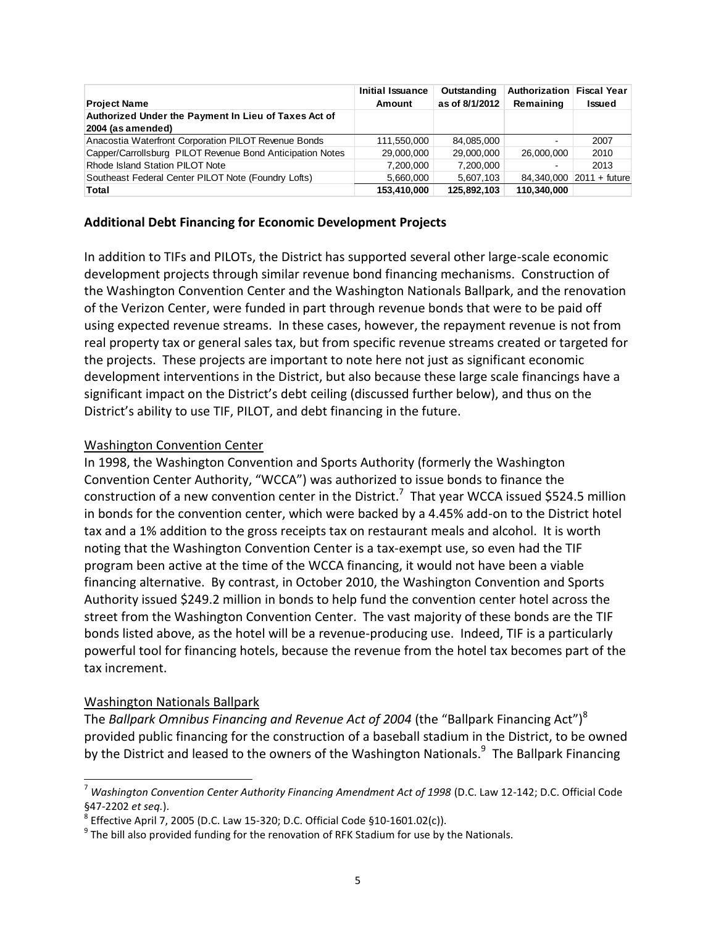|                                                           | Initial Issuance | Outstanding    | Authorization Fiscal Year |                          |
|-----------------------------------------------------------|------------------|----------------|---------------------------|--------------------------|
| <b>Project Name</b>                                       | Amount           | as of 8/1/2012 | Remaining                 | <b>Issued</b>            |
| Authorized Under the Payment In Lieu of Taxes Act of      |                  |                |                           |                          |
| 2004 (as amended)                                         |                  |                |                           |                          |
| Anacostia Waterfront Corporation PILOT Revenue Bonds      | 111,550,000      | 84.085.000     | $\blacksquare$            | 2007                     |
| Capper/Carrollsburg PILOT Revenue Bond Anticipation Notes | 29,000,000       | 29,000,000     | 26,000,000                | 2010                     |
| Rhode Island Station PILOT Note                           | 7.200.000        | 7,200,000      | ٠                         | 2013                     |
| Southeast Federal Center PILOT Note (Foundry Lofts)       | 5.660.000        | 5.607.103      |                           | 84,340,000 2011 + future |
| Total                                                     | 153,410,000      | 125,892,103    | 110,340,000               |                          |

#### **Additional Debt Financing for Economic Development Projects**

In addition to TIFs and PILOTs, the District has supported several other large-scale economic development projects through similar revenue bond financing mechanisms. Construction of the Washington Convention Center and the Washington Nationals Ballpark, and the renovation of the Verizon Center, were funded in part through revenue bonds that were to be paid off using expected revenue streams. In these cases, however, the repayment revenue is not from real property tax or general sales tax, but from specific revenue streams created or targeted for the projects. These projects are important to note here not just as significant economic development interventions in the District, but also because these large scale financings have a significant impact on the District's debt ceiling (discussed further below), and thus on the District's ability to use TIF, PILOT, and debt financing in the future.

#### Washington Convention Center

In 1998, the Washington Convention and Sports Authority (formerly the Washington Convention Center Authority, "WCCA") was authorized to issue bonds to finance the construction of a new convention center in the District.<sup>7</sup> That year WCCA issued \$524.5 million in bonds for the convention center, which were backed by a 4.45% add-on to the District hotel tax and a 1% addition to the gross receipts tax on restaurant meals and alcohol. It is worth noting that the Washington Convention Center is a tax-exempt use, so even had the TIF program been active at the time of the WCCA financing, it would not have been a viable financing alternative. By contrast, in October 2010, the Washington Convention and Sports Authority issued \$249.2 million in bonds to help fund the convention center hotel across the street from the Washington Convention Center. The vast majority of these bonds are the TIF bonds listed above, as the hotel will be a revenue-producing use. Indeed, TIF is a particularly powerful tool for financing hotels, because the revenue from the hotel tax becomes part of the tax increment.

#### Washington Nationals Ballpark

 $\overline{a}$ 

The *Ballpark Omnibus Financing and Revenue Act of 2004* (the "Ballpark Financing Act")<sup>8</sup> provided public financing for the construction of a baseball stadium in the District, to be owned by the District and leased to the owners of the Washington Nationals.<sup>9</sup> The Ballpark Financing

<sup>7</sup> *Washington Convention Center Authority Financing Amendment Act of 1998* (D.C. Law 12-142; D.C. Official Code §47-2202 *et seq.*).

 $^8$  Effective April 7, 2005 (D.C. Law 15-320; D.C. Official Code §10-1601.02(c)).

 $^9$  The bill also provided funding for the renovation of RFK Stadium for use by the Nationals.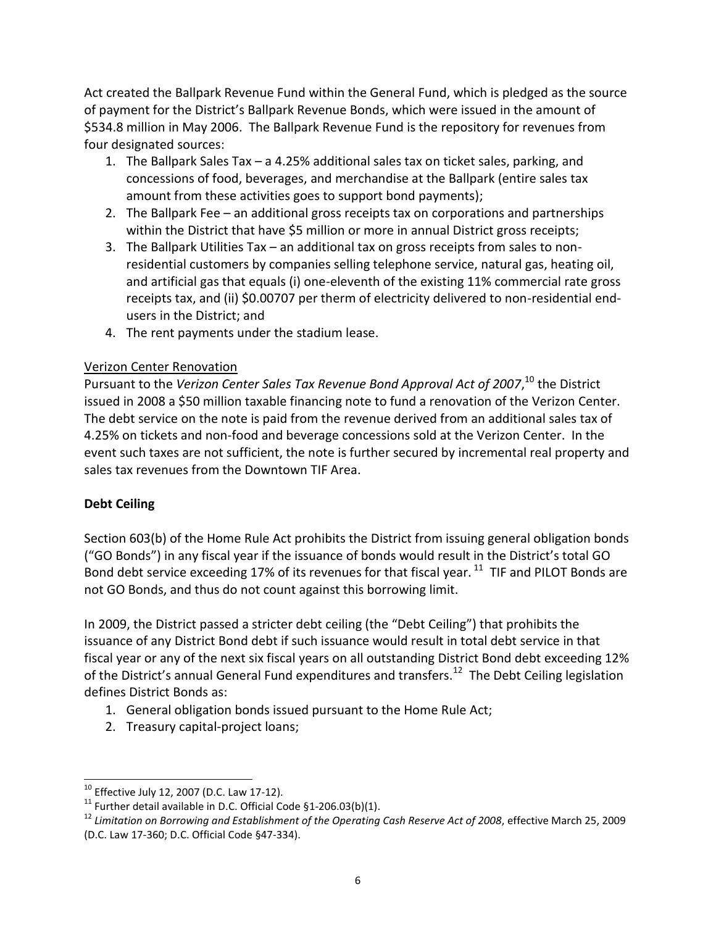Act created the Ballpark Revenue Fund within the General Fund, which is pledged as the source of payment for the District's Ballpark Revenue Bonds, which were issued in the amount of \$534.8 million in May 2006. The Ballpark Revenue Fund is the repository for revenues from four designated sources:

- 1. The Ballpark Sales Tax a 4.25% additional sales tax on ticket sales, parking, and concessions of food, beverages, and merchandise at the Ballpark (entire sales tax amount from these activities goes to support bond payments);
- 2. The Ballpark Fee an additional gross receipts tax on corporations and partnerships within the District that have \$5 million or more in annual District gross receipts;
- 3. The Ballpark Utilities Tax an additional tax on gross receipts from sales to nonresidential customers by companies selling telephone service, natural gas, heating oil, and artificial gas that equals (i) one-eleventh of the existing 11% commercial rate gross receipts tax, and (ii) \$0.00707 per therm of electricity delivered to non-residential endusers in the District; and
- 4. The rent payments under the stadium lease.

### Verizon Center Renovation

Pursuant to the *Verizon Center Sales Tax Revenue Bond Approval Act of 2007*,<sup>10</sup> the District issued in 2008 a \$50 million taxable financing note to fund a renovation of the Verizon Center. The debt service on the note is paid from the revenue derived from an additional sales tax of 4.25% on tickets and non-food and beverage concessions sold at the Verizon Center. In the event such taxes are not sufficient, the note is further secured by incremental real property and sales tax revenues from the Downtown TIF Area.

## **Debt Ceiling**

Section 603(b) of the Home Rule Act prohibits the District from issuing general obligation bonds ("GO Bonds") in any fiscal year if the issuance of bonds would result in the District's total GO Bond debt service exceeding 17% of its revenues for that fiscal year. <sup>11</sup> TIF and PILOT Bonds are not GO Bonds, and thus do not count against this borrowing limit.

In 2009, the District passed a stricter debt ceiling (the "Debt Ceiling") that prohibits the issuance of any District Bond debt if such issuance would result in total debt service in that fiscal year or any of the next six fiscal years on all outstanding District Bond debt exceeding 12% of the District's annual General Fund expenditures and transfers.<sup>12</sup> The Debt Ceiling legislation defines District Bonds as:

- 1. General obligation bonds issued pursuant to the Home Rule Act;
- 2. Treasury capital-project loans;

 $\overline{a}$  $10$  Effective July 12, 2007 (D.C. Law 17-12).

<sup>&</sup>lt;sup>11</sup> Further detail available in D.C. Official Code §1-206.03(b)(1).

<sup>12</sup> *Limitation on Borrowing and Establishment of the Operating Cash Reserve Act of 2008*, effective March 25, 2009 (D.C. Law 17-360; D.C. Official Code §47-334).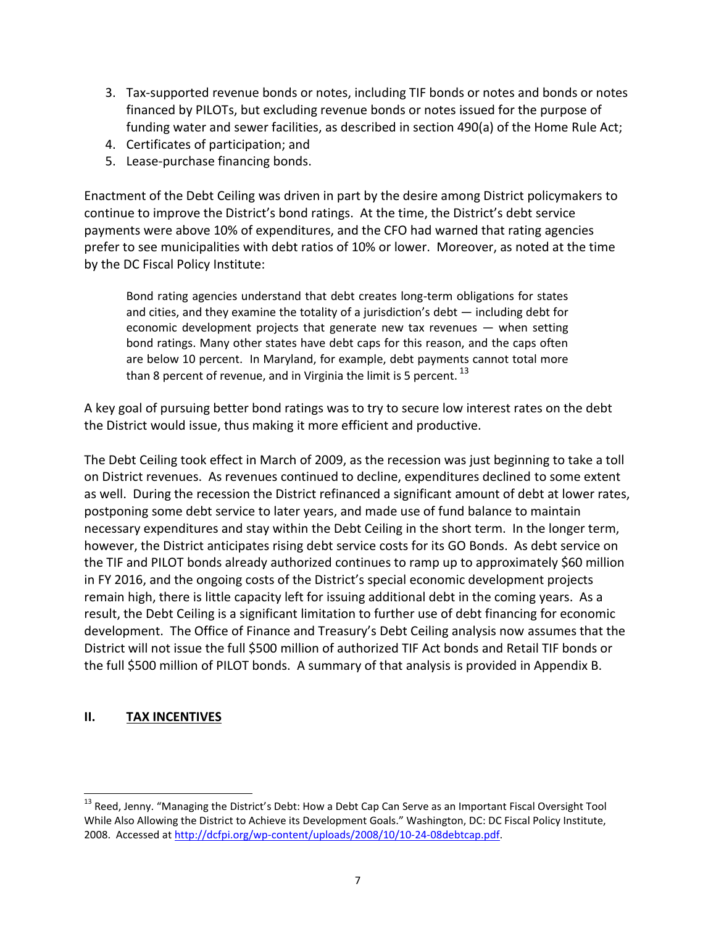- 3. Tax-supported revenue bonds or notes, including TIF bonds or notes and bonds or notes financed by PILOTs, but excluding revenue bonds or notes issued for the purpose of funding water and sewer facilities, as described in section 490(a) of the Home Rule Act;
- 4. Certificates of participation; and
- 5. Lease-purchase financing bonds.

Enactment of the Debt Ceiling was driven in part by the desire among District policymakers to continue to improve the District's bond ratings. At the time, the District's debt service payments were above 10% of expenditures, and the CFO had warned that rating agencies prefer to see municipalities with debt ratios of 10% or lower. Moreover, as noted at the time by the DC Fiscal Policy Institute:

Bond rating agencies understand that debt creates long-term obligations for states and cities, and they examine the totality of a jurisdiction's debt — including debt for economic development projects that generate new tax revenues — when setting bond ratings. Many other states have debt caps for this reason, and the caps often are below 10 percent. In Maryland, for example, debt payments cannot total more than 8 percent of revenue, and in Virginia the limit is 5 percent.  $^{13}$ 

A key goal of pursuing better bond ratings was to try to secure low interest rates on the debt the District would issue, thus making it more efficient and productive.

The Debt Ceiling took effect in March of 2009, as the recession was just beginning to take a toll on District revenues. As revenues continued to decline, expenditures declined to some extent as well. During the recession the District refinanced a significant amount of debt at lower rates, postponing some debt service to later years, and made use of fund balance to maintain necessary expenditures and stay within the Debt Ceiling in the short term. In the longer term, however, the District anticipates rising debt service costs for its GO Bonds. As debt service on the TIF and PILOT bonds already authorized continues to ramp up to approximately \$60 million in FY 2016, and the ongoing costs of the District's special economic development projects remain high, there is little capacity left for issuing additional debt in the coming years. As a result, the Debt Ceiling is a significant limitation to further use of debt financing for economic development. The Office of Finance and Treasury's Debt Ceiling analysis now assumes that the District will not issue the full \$500 million of authorized TIF Act bonds and Retail TIF bonds or the full \$500 million of PILOT bonds. A summary of that analysis is provided in Appendix B.

### **II. TAX INCENTIVES**

<sup>&</sup>lt;sup>13</sup> Reed, Jenny. "Managing the District's Debt: How a Debt Cap Can Serve as an Important Fiscal Oversight Tool While Also Allowing the District to Achieve its Development Goals." Washington, DC: DC Fiscal Policy Institute, 2008. Accessed at [http://dcfpi.org/wp-content/uploads/2008/10/10-24-08debtcap.pdf.](http://dcfpi.org/wp-content/uploads/2008/10/10-24-08debtcap.pdf)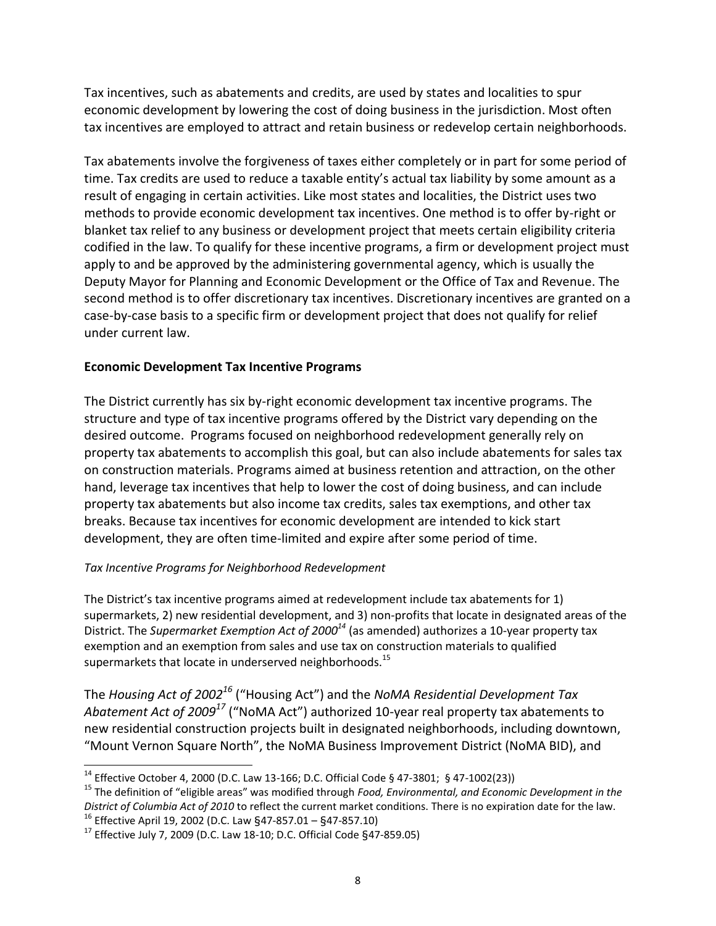Tax incentives, such as abatements and credits, are used by states and localities to spur economic development by lowering the cost of doing business in the jurisdiction. Most often tax incentives are employed to attract and retain business or redevelop certain neighborhoods.

Tax abatements involve the forgiveness of taxes either completely or in part for some period of time. Tax credits are used to reduce a taxable entity's actual tax liability by some amount as a result of engaging in certain activities. Like most states and localities, the District uses two methods to provide economic development tax incentives. One method is to offer by-right or blanket tax relief to any business or development project that meets certain eligibility criteria codified in the law. To qualify for these incentive programs, a firm or development project must apply to and be approved by the administering governmental agency, which is usually the Deputy Mayor for Planning and Economic Development or the Office of Tax and Revenue. The second method is to offer discretionary tax incentives. Discretionary incentives are granted on a case-by-case basis to a specific firm or development project that does not qualify for relief under current law.

### **Economic Development Tax Incentive Programs**

The District currently has six by-right economic development tax incentive programs. The structure and type of tax incentive programs offered by the District vary depending on the desired outcome. Programs focused on neighborhood redevelopment generally rely on property tax abatements to accomplish this goal, but can also include abatements for sales tax on construction materials. Programs aimed at business retention and attraction, on the other hand, leverage tax incentives that help to lower the cost of doing business, and can include property tax abatements but also income tax credits, sales tax exemptions, and other tax breaks. Because tax incentives for economic development are intended to kick start development, they are often time-limited and expire after some period of time.

#### *Tax Incentive Programs for Neighborhood Redevelopment*

The District's tax incentive programs aimed at redevelopment include tax abatements for 1) supermarkets, 2) new residential development, and 3) non-profits that locate in designated areas of the District. The *Supermarket Exemption Act of 2000<sup>14</sup>* (as amended) authorizes a 10-year property tax exemption and an exemption from sales and use tax on construction materials to qualified supermarkets that locate in underserved neighborhoods.<sup>15</sup>

The *Housing Act of 2002<sup>16</sup>* ("Housing Act") and the *NoMA Residential Development Tax Abatement Act of 2009<sup>17</sup>* ("NoMA Act") authorized 10-year real property tax abatements to new residential construction projects built in designated neighborhoods, including downtown, "Mount Vernon Square North", the NoMA Business Improvement District (NoMA BID), and

<sup>&</sup>lt;sup>14</sup> Effective October 4, 2000 (D.C. Law 13-166; D.C. Official Code § 47-3801; § 47-1002(23))

<sup>15</sup> The definition of "eligible areas" was modified through *Food, Environmental, and Economic Development in the District of Columbia Act of 2010* to reflect the current market conditions. There is no expiration date for the law.  $16$  Effective April 19, 2002 (D.C. Law §47-857.01 – §47-857.10)

<sup>&</sup>lt;sup>17</sup> Effective July 7, 2009 (D.C. Law 18-10; D.C. Official Code §47-859.05)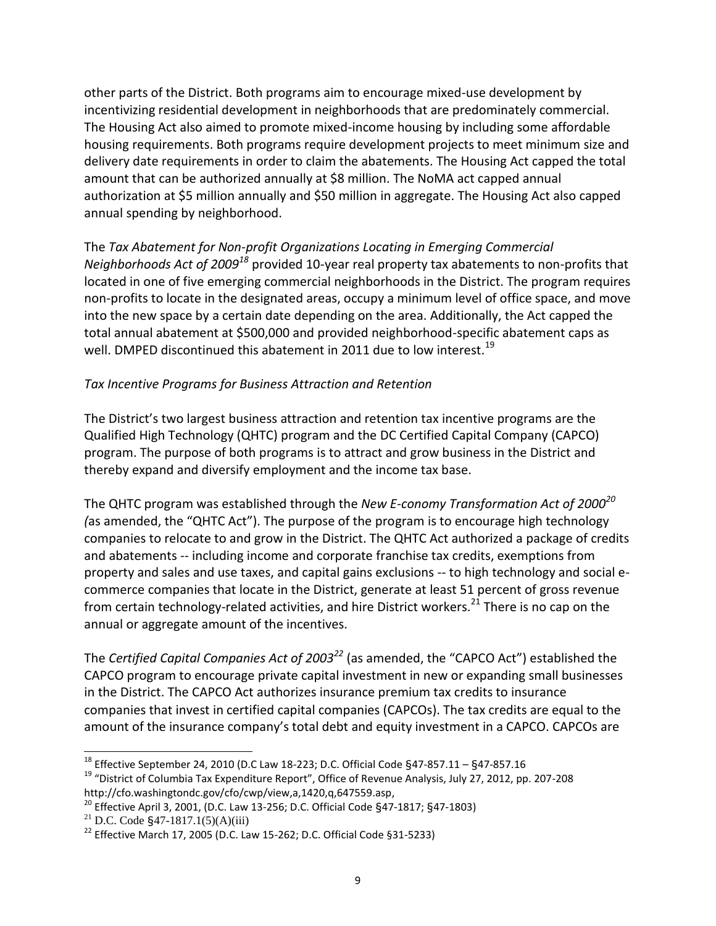other parts of the District. Both programs aim to encourage mixed-use development by incentivizing residential development in neighborhoods that are predominately commercial. The Housing Act also aimed to promote mixed-income housing by including some affordable housing requirements. Both programs require development projects to meet minimum size and delivery date requirements in order to claim the abatements. The Housing Act capped the total amount that can be authorized annually at \$8 million. The NoMA act capped annual authorization at \$5 million annually and \$50 million in aggregate. The Housing Act also capped annual spending by neighborhood.

The *Tax Abatement for Non-profit Organizations Locating in Emerging Commercial Neighborhoods Act of 2009<sup>18</sup>* provided 10-year real property tax abatements to non-profits that located in one of five emerging commercial neighborhoods in the District. The program requires non-profits to locate in the designated areas, occupy a minimum level of office space, and move into the new space by a certain date depending on the area. Additionally, the Act capped the total annual abatement at \$500,000 and provided neighborhood-specific abatement caps as well. DMPED discontinued this abatement in 2011 due to low interest.<sup>19</sup>

### *Tax Incentive Programs for Business Attraction and Retention*

The District's two largest business attraction and retention tax incentive programs are the Qualified High Technology (QHTC) program and the DC Certified Capital Company (CAPCO) program. The purpose of both programs is to attract and grow business in the District and thereby expand and diversify employment and the income tax base.

The QHTC program was established through the *New E-conomy Transformation Act of 2000<sup>20</sup> (*as amended, the "QHTC Act"). The purpose of the program is to encourage high technology companies to relocate to and grow in the District. The QHTC Act authorized a package of credits and abatements -- including income and corporate franchise tax credits, exemptions from property and sales and use taxes, and capital gains exclusions -- to high technology and social ecommerce companies that locate in the District, generate at least 51 percent of gross revenue from certain technology-related activities, and hire District workers.<sup>21</sup> There is no cap on the annual or aggregate amount of the incentives.

The *Certified Capital Companies Act of 2003<sup>22</sup>* (as amended, the "CAPCO Act") established the CAPCO program to encourage private capital investment in new or expanding small businesses in the District. The CAPCO Act authorizes insurance premium tax credits to insurance companies that invest in certified capital companies (CAPCOs). The tax credits are equal to the amount of the insurance company's total debt and equity investment in a CAPCO. CAPCOs are

<sup>&</sup>lt;sup>18</sup> Effective September 24, 2010 (D.C Law 18-223; D.C. Official Code §47-857.11 – §47-857.16

<sup>&</sup>lt;sup>19</sup> "District of Columbia Tax Expenditure Report", Office of Revenue Analysis, July 27, 2012, pp. 207-208 http://cfo.washingtondc.gov/cfo/cwp/view,a,1420,q,647559.asp,

<sup>20</sup> Effective April 3, 2001, (D.C. Law 13-256; D.C. Official Code §47-1817; §47-1803)

<sup>&</sup>lt;sup>21</sup> D.C. Code §47-1817.1(5)(A)(iii)

<sup>&</sup>lt;sup>22</sup> Effective March 17, 2005 (D.C. Law 15-262; D.C. Official Code §31-5233)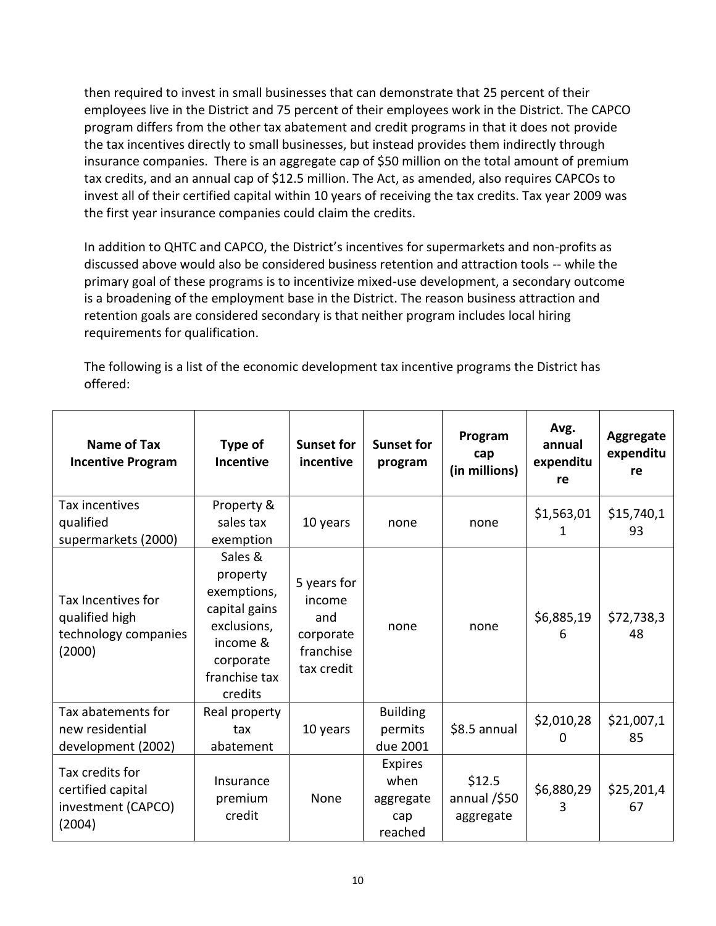then required to invest in small businesses that can demonstrate that 25 percent of their employees live in the District and 75 percent of their employees work in the District. The CAPCO program differs from the other tax abatement and credit programs in that it does not provide the tax incentives directly to small businesses, but instead provides them indirectly through insurance companies. There is an aggregate cap of \$50 million on the total amount of premium tax credits, and an annual cap of \$12.5 million. The Act, as amended, also requires CAPCOs to invest all of their certified capital within 10 years of receiving the tax credits. Tax year 2009 was the first year insurance companies could claim the credits.

In addition to QHTC and CAPCO, the District's incentives for supermarkets and non-profits as discussed above would also be considered business retention and attraction tools -- while the primary goal of these programs is to incentivize mixed-use development, a secondary outcome is a broadening of the employment base in the District. The reason business attraction and retention goals are considered secondary is that neither program includes local hiring requirements for qualification.

The following is a list of the economic development tax incentive programs the District has offered:

| Name of Tax<br><b>Incentive Program</b>                                | Type of<br>Incentive                                                                                                    | <b>Sunset for</b><br>incentive                                       | <b>Sunset for</b><br>program                          | Program<br>cap<br>(in millions)        | Avg.<br>annual<br>expenditu<br>re | <b>Aggregate</b><br>expenditu<br>re |
|------------------------------------------------------------------------|-------------------------------------------------------------------------------------------------------------------------|----------------------------------------------------------------------|-------------------------------------------------------|----------------------------------------|-----------------------------------|-------------------------------------|
| Tax incentives<br>qualified                                            | Property &<br>sales tax                                                                                                 |                                                                      | none                                                  |                                        | \$1,563,01                        | \$15,740,1                          |
| supermarkets (2000)                                                    | exemption                                                                                                               | 10 years                                                             |                                                       | none                                   | 1                                 | 93                                  |
| Tax Incentives for<br>qualified high<br>technology companies<br>(2000) | Sales &<br>property<br>exemptions,<br>capital gains<br>exclusions,<br>income &<br>corporate<br>franchise tax<br>credits | 5 years for<br>income<br>and<br>corporate<br>franchise<br>tax credit | none                                                  | none                                   | \$6,885,19<br>6                   | \$72,738,3<br>48                    |
| Tax abatements for<br>new residential<br>development (2002)            | Real property<br>tax<br>abatement                                                                                       | 10 years                                                             | <b>Building</b><br>permits<br>due 2001                | \$8.5 annual                           | \$2,010,28<br>0                   | \$21,007,1<br>85                    |
| Tax credits for<br>certified capital<br>investment (CAPCO)<br>(2004)   | Insurance<br>premium<br>credit                                                                                          | None                                                                 | <b>Expires</b><br>when<br>aggregate<br>cap<br>reached | \$12.5<br>annual $/$ \$50<br>aggregate | \$6,880,29                        | \$25,201,4<br>67                    |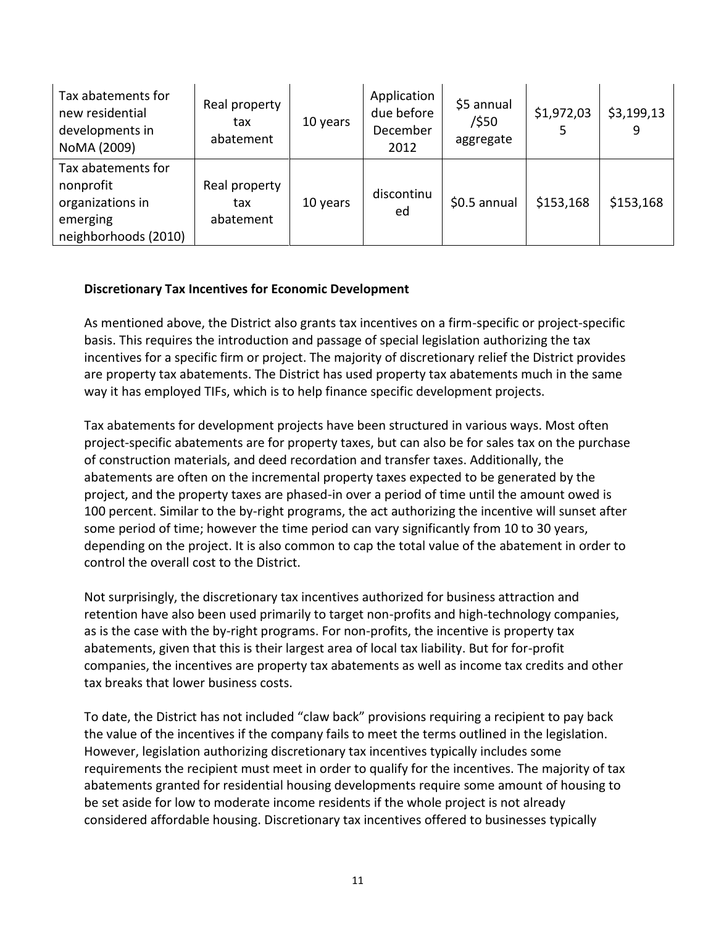| Tax abatements for<br>new residential<br>developments in<br>NoMA (2009)                 | Real property<br>tax<br>abatement | 10 years | Application<br>due before<br>December<br>2012 | \$5 annual<br>/\$50<br>aggregate | \$1,972,03 | \$3,199,13<br>9 |
|-----------------------------------------------------------------------------------------|-----------------------------------|----------|-----------------------------------------------|----------------------------------|------------|-----------------|
| Tax abatements for<br>nonprofit<br>organizations in<br>emerging<br>neighborhoods (2010) | Real property<br>tax<br>abatement | 10 years | discontinu<br>ed                              | \$0.5 annual                     | \$153,168  | \$153,168       |

### **Discretionary Tax Incentives for Economic Development**

As mentioned above, the District also grants tax incentives on a firm-specific or project-specific basis. This requires the introduction and passage of special legislation authorizing the tax incentives for a specific firm or project. The majority of discretionary relief the District provides are property tax abatements. The District has used property tax abatements much in the same way it has employed TIFs, which is to help finance specific development projects.

Tax abatements for development projects have been structured in various ways. Most often project-specific abatements are for property taxes, but can also be for sales tax on the purchase of construction materials, and deed recordation and transfer taxes. Additionally, the abatements are often on the incremental property taxes expected to be generated by the project, and the property taxes are phased-in over a period of time until the amount owed is 100 percent. Similar to the by-right programs, the act authorizing the incentive will sunset after some period of time; however the time period can vary significantly from 10 to 30 years, depending on the project. It is also common to cap the total value of the abatement in order to control the overall cost to the District.

Not surprisingly, the discretionary tax incentives authorized for business attraction and retention have also been used primarily to target non-profits and high-technology companies, as is the case with the by-right programs. For non-profits, the incentive is property tax abatements, given that this is their largest area of local tax liability. But for for-profit companies, the incentives are property tax abatements as well as income tax credits and other tax breaks that lower business costs.

To date, the District has not included "claw back" provisions requiring a recipient to pay back the value of the incentives if the company fails to meet the terms outlined in the legislation. However, legislation authorizing discretionary tax incentives typically includes some requirements the recipient must meet in order to qualify for the incentives. The majority of tax abatements granted for residential housing developments require some amount of housing to be set aside for low to moderate income residents if the whole project is not already considered affordable housing. Discretionary tax incentives offered to businesses typically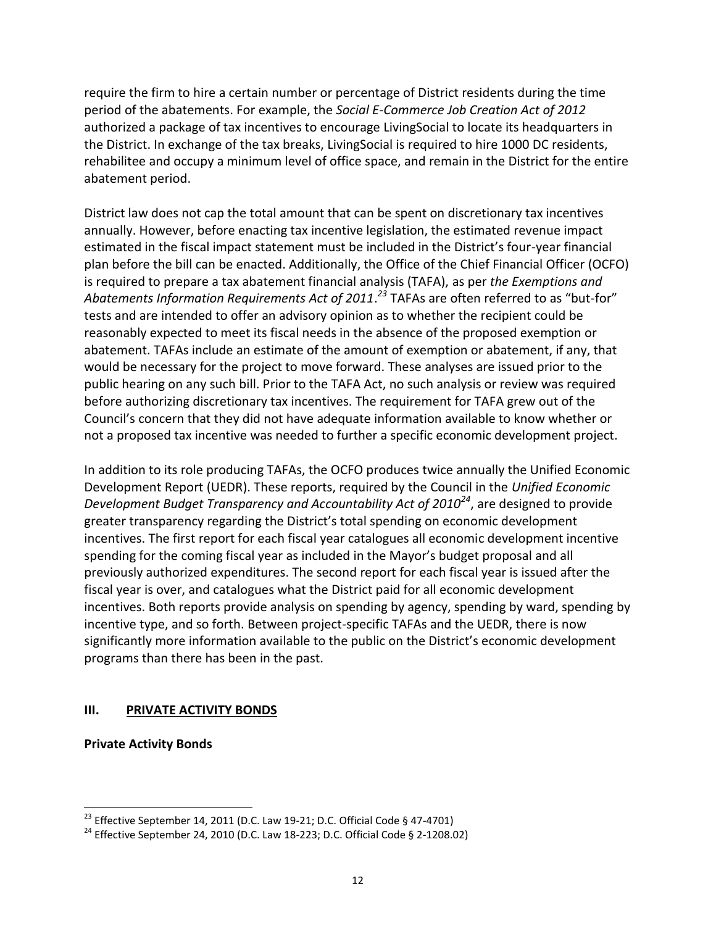require the firm to hire a certain number or percentage of District residents during the time period of the abatements. For example, the *Social E-Commerce Job Creation Act of 2012* authorized a package of tax incentives to encourage LivingSocial to locate its headquarters in the District. In exchange of the tax breaks, LivingSocial is required to hire 1000 DC residents, rehabilitee and occupy a minimum level of office space, and remain in the District for the entire abatement period.

District law does not cap the total amount that can be spent on discretionary tax incentives annually. However, before enacting tax incentive legislation, the estimated revenue impact estimated in the fiscal impact statement must be included in the District's four-year financial plan before the bill can be enacted. Additionally, the Office of the Chief Financial Officer (OCFO) is required to prepare a tax abatement financial analysis (TAFA), as per *the Exemptions and Abatements Information Requirements Act of 2011*. *<sup>23</sup>* TAFAs are often referred to as "but-for" tests and are intended to offer an advisory opinion as to whether the recipient could be reasonably expected to meet its fiscal needs in the absence of the proposed exemption or abatement. TAFAs include an estimate of the amount of exemption or abatement, if any, that would be necessary for the project to move forward. These analyses are issued prior to the public hearing on any such bill. Prior to the TAFA Act, no such analysis or review was required before authorizing discretionary tax incentives. The requirement for TAFA grew out of the Council's concern that they did not have adequate information available to know whether or not a proposed tax incentive was needed to further a specific economic development project.

In addition to its role producing TAFAs, the OCFO produces twice annually the Unified Economic Development Report (UEDR). These reports, required by the Council in the *Unified Economic Development Budget Transparency and Accountability Act of 2010<sup>24</sup>*, are designed to provide greater transparency regarding the District's total spending on economic development incentives. The first report for each fiscal year catalogues all economic development incentive spending for the coming fiscal year as included in the Mayor's budget proposal and all previously authorized expenditures. The second report for each fiscal year is issued after the fiscal year is over, and catalogues what the District paid for all economic development incentives. Both reports provide analysis on spending by agency, spending by ward, spending by incentive type, and so forth. Between project-specific TAFAs and the UEDR, there is now significantly more information available to the public on the District's economic development programs than there has been in the past.

### **III. PRIVATE ACTIVITY BONDS**

**Private Activity Bonds** 

l

<sup>&</sup>lt;sup>23</sup> Effective September 14, 2011 (D.C. Law 19-21; D.C. Official Code § 47-4701)

<sup>&</sup>lt;sup>24</sup> Effective September 24, 2010 (D.C. Law 18-223; D.C. Official Code § 2-1208.02)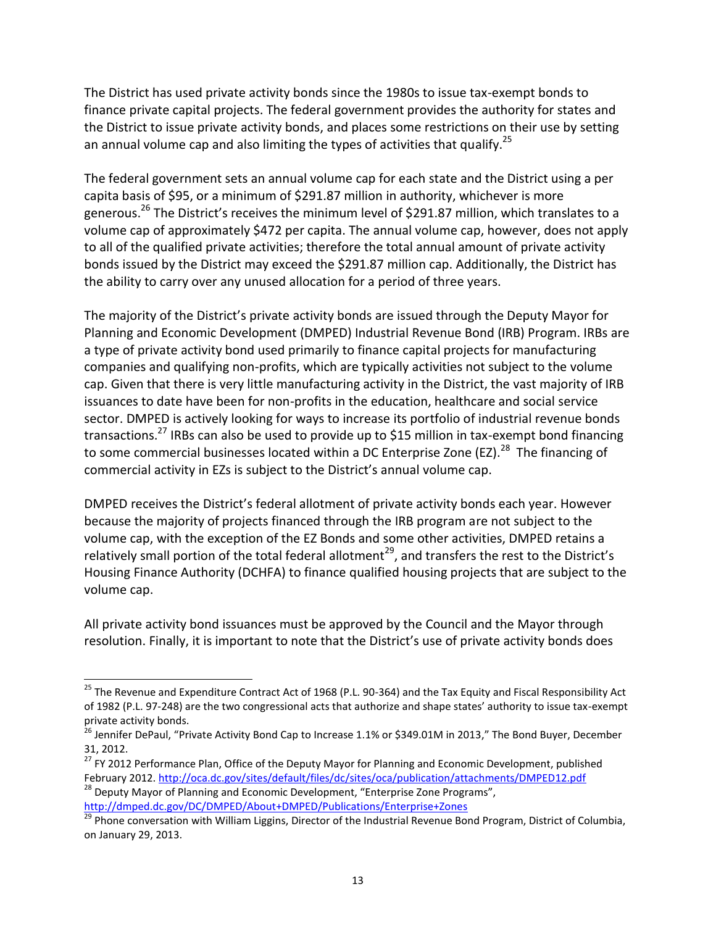The District has used private activity bonds since the 1980s to issue tax-exempt bonds to finance private capital projects. The federal government provides the authority for states and the District to issue private activity bonds, and places some restrictions on their use by setting an annual volume cap and also limiting the types of activities that qualify.<sup>25</sup>

The federal government sets an annual volume cap for each state and the District using a per capita basis of \$95, or a minimum of \$291.87 million in authority, whichever is more generous.<sup>26</sup> The District's receives the minimum level of \$291.87 million, which translates to a volume cap of approximately \$472 per capita. The annual volume cap, however, does not apply to all of the qualified private activities; therefore the total annual amount of private activity bonds issued by the District may exceed the \$291.87 million cap. Additionally, the District has the ability to carry over any unused allocation for a period of three years.

The majority of the District's private activity bonds are issued through the Deputy Mayor for Planning and Economic Development (DMPED) Industrial Revenue Bond (IRB) Program. IRBs are a type of private activity bond used primarily to finance capital projects for manufacturing companies and qualifying non-profits, which are typically activities not subject to the volume cap. Given that there is very little manufacturing activity in the District, the vast majority of IRB issuances to date have been for non-profits in the education, healthcare and social service sector. DMPED is actively looking for ways to increase its portfolio of industrial revenue bonds transactions.<sup>27</sup> IRBs can also be used to provide up to \$15 million in tax-exempt bond financing to some commercial businesses located within a DC Enterprise Zone (EZ).<sup>28</sup> The financing of commercial activity in EZs is subject to the District's annual volume cap.

DMPED receives the District's federal allotment of private activity bonds each year. However because the majority of projects financed through the IRB program are not subject to the volume cap, with the exception of the EZ Bonds and some other activities, DMPED retains a relatively small portion of the total federal allotment<sup>29</sup>, and transfers the rest to the District's Housing Finance Authority (DCHFA) to finance qualified housing projects that are subject to the volume cap.

All private activity bond issuances must be approved by the Council and the Mayor through resolution. Finally, it is important to note that the District's use of private activity bonds does

<http://dmped.dc.gov/DC/DMPED/About+DMPED/Publications/Enterprise+Zones>

<sup>&</sup>lt;sup>25</sup> The Revenue and Expenditure Contract Act of 1968 (P.L. 90-364) and the Tax Equity and Fiscal Responsibility Act of 1982 (P.L. 97-248) are the two congressional acts that authorize and shape states' authority to issue tax-exempt private activity bonds.

<sup>&</sup>lt;sup>26</sup> Jennifer DePaul, "Private Activity Bond Cap to Increase 1.1% or \$349.01M in 2013," The Bond Buyer, December 31, 2012.

<sup>27</sup> FY 2012 Performance Plan, Office of the Deputy Mayor for Planning and Economic Development, published February 2012[. http://oca.dc.gov/sites/default/files/dc/sites/oca/publication/attachments/DMPED12.pdf](http://oca.dc.gov/sites/default/files/dc/sites/oca/publication/attachments/DMPED12.pdf)  $28$  Deputy Mayor of Planning and Economic Development, "Enterprise Zone Programs",

 $\frac{29}{29}$  Phone conversation with William Liggins, Director of the Industrial Revenue Bond Program, District of Columbia, on January 29, 2013.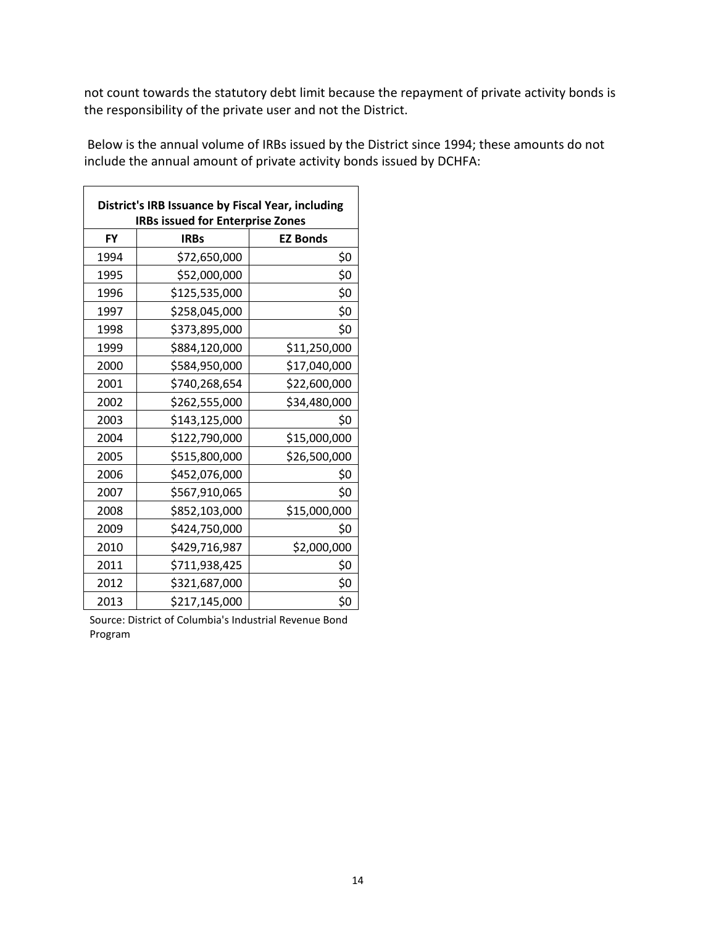not count towards the statutory debt limit because the repayment of private activity bonds is the responsibility of the private user and not the District.

Below is the annual volume of IRBs issued by the District since 1994; these amounts do not include the annual amount of private activity bonds issued by DCHFA:

|           | District's IRB Issuance by Fiscal Year, including<br><b>IRBs issued for Enterprise Zones</b> |                 |
|-----------|----------------------------------------------------------------------------------------------|-----------------|
| <b>FY</b> | <b>IRBs</b>                                                                                  | <b>EZ Bonds</b> |
| 1994      | \$72,650,000                                                                                 | \$0             |
| 1995      | \$52,000,000                                                                                 | \$0             |
| 1996      | \$125,535,000                                                                                | \$0             |
| 1997      | \$258,045,000                                                                                | \$0             |
| 1998      | \$373,895,000                                                                                | \$0             |
| 1999      | \$884,120,000                                                                                | \$11,250,000    |
| 2000      | \$584,950,000                                                                                | \$17,040,000    |
| 2001      | \$740,268,654                                                                                | \$22,600,000    |
| 2002      | \$262,555,000                                                                                | \$34,480,000    |
| 2003      | \$143,125,000                                                                                | \$0             |
| 2004      | \$122,790,000                                                                                | \$15,000,000    |
| 2005      | \$515,800,000                                                                                | \$26,500,000    |
| 2006      | \$452,076,000                                                                                | \$0             |
| 2007      | \$567,910,065                                                                                | \$0             |
| 2008      | \$852,103,000                                                                                | \$15,000,000    |
| 2009      | \$424,750,000                                                                                | \$0             |
| 2010      | \$429,716,987                                                                                | \$2,000,000     |
| 2011      | \$711,938,425                                                                                | \$0             |
| 2012      | \$321,687,000                                                                                | \$0             |
| 2013      | \$217,145,000                                                                                | \$0             |

Source: District of Columbia's Industrial Revenue Bond Program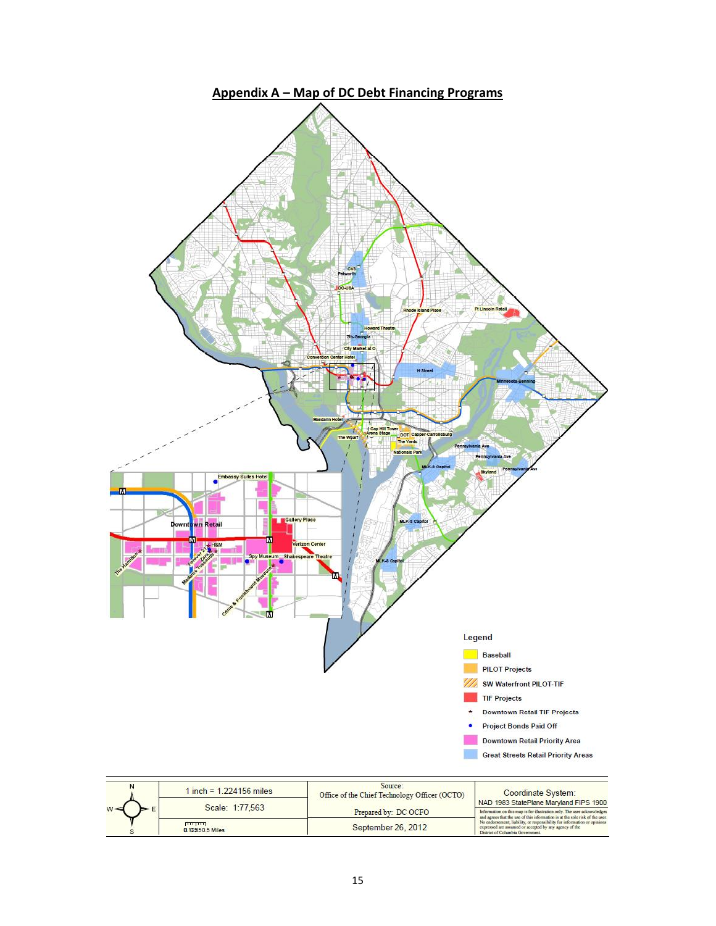